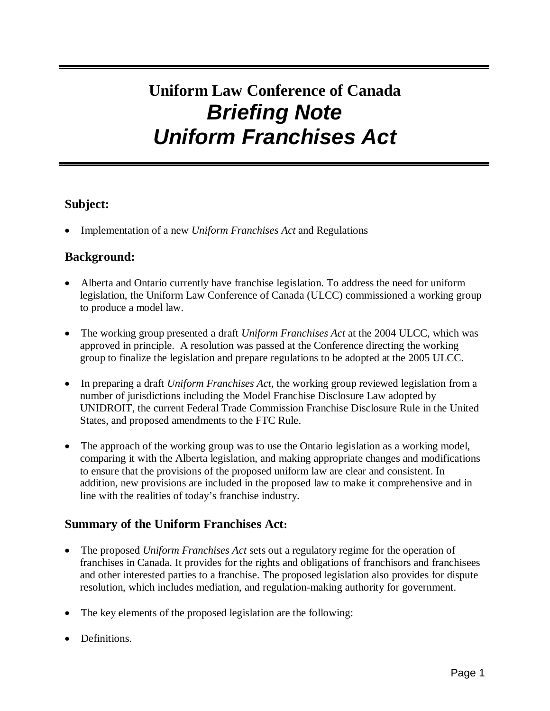# **Uniform Law Conference of Canada Briefing Note Uniform Franchises Act**

## **Subject:**

• Implementation of a new *Uniform Franchises Act* and Regulations

## **Background:**

- Alberta and Ontario currently have franchise legislation. To address the need for uniform legislation, the Uniform Law Conference of Canada (ULCC) commissioned a working group to produce a model law.
- The working group presented a draft *Uniform Franchises Act* at the 2004 ULCC, which was approved in principle. A resolution was passed at the Conference directing the working group to finalize the legislation and prepare regulations to be adopted at the 2005 ULCC.
- In preparing a draft *Uniform Franchises Act*, the working group reviewed legislation from a number of jurisdictions including the Model Franchise Disclosure Law adopted by UNIDROIT, the current Federal Trade Commission Franchise Disclosure Rule in the United States, and proposed amendments to the FTC Rule.
- The approach of the working group was to use the Ontario legislation as a working model, comparing it with the Alberta legislation, and making appropriate changes and modifications to ensure that the provisions of the proposed uniform law are clear and consistent. In addition, new provisions are included in the proposed law to make it comprehensive and in line with the realities of today's franchise industry.

## **Summary of the Uniform Franchises Act:**

- The proposed *Uniform Franchises Act* sets out a regulatory regime for the operation of franchises in Canada. It provides for the rights and obligations of franchisors and franchisees and other interested parties to a franchise. The proposed legislation also provides for dispute resolution, which includes mediation, and regulation-making authority for government.
- The key elements of the proposed legislation are the following:
- Definitions.